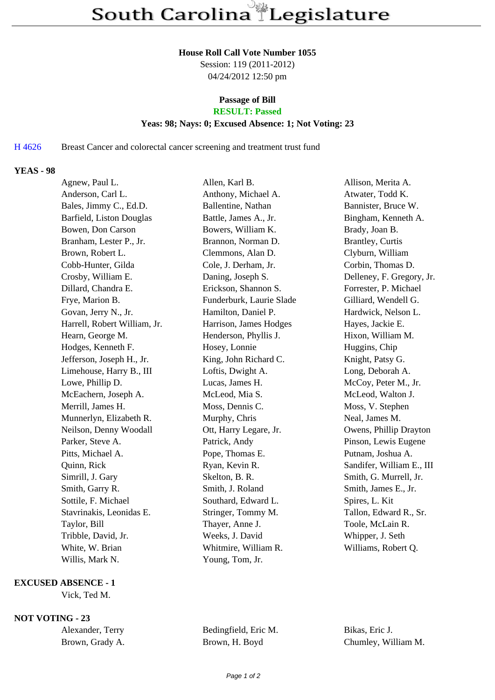#### **House Roll Call Vote Number 1055**

Session: 119 (2011-2012) 04/24/2012 12:50 pm

# **Passage of Bill**

## **RESULT: Passed**

### **Yeas: 98; Nays: 0; Excused Absence: 1; Not Voting: 23**

H 4626 Breast Cancer and colorectal cancer screening and treatment trust fund

### **YEAS - 98**

| Agnew, Paul L.               | Allen, Karl B.           | Allison, Merita A.        |
|------------------------------|--------------------------|---------------------------|
| Anderson, Carl L.            | Anthony, Michael A.      | Atwater, Todd K.          |
| Bales, Jimmy C., Ed.D.       | Ballentine, Nathan       | Bannister, Bruce W.       |
| Barfield, Liston Douglas     | Battle, James A., Jr.    | Bingham, Kenneth A.       |
| Bowen, Don Carson            | Bowers, William K.       | Brady, Joan B.            |
| Branham, Lester P., Jr.      | Brannon, Norman D.       | <b>Brantley, Curtis</b>   |
| Brown, Robert L.             | Clemmons, Alan D.        | Clyburn, William          |
| Cobb-Hunter, Gilda           | Cole, J. Derham, Jr.     | Corbin, Thomas D.         |
| Crosby, William E.           | Daning, Joseph S.        | Delleney, F. Gregory, Jr. |
| Dillard, Chandra E.          | Erickson, Shannon S.     | Forrester, P. Michael     |
| Frye, Marion B.              | Funderburk, Laurie Slade | Gilliard, Wendell G.      |
| Govan, Jerry N., Jr.         | Hamilton, Daniel P.      | Hardwick, Nelson L.       |
| Harrell, Robert William, Jr. | Harrison, James Hodges   | Hayes, Jackie E.          |
| Hearn, George M.             | Henderson, Phyllis J.    | Hixon, William M.         |
| Hodges, Kenneth F.           | Hosey, Lonnie            | Huggins, Chip             |
| Jefferson, Joseph H., Jr.    | King, John Richard C.    | Knight, Patsy G.          |
| Limehouse, Harry B., III     | Loftis, Dwight A.        | Long, Deborah A.          |
| Lowe, Phillip D.             | Lucas, James H.          | McCoy, Peter M., Jr.      |
| McEachern, Joseph A.         | McLeod, Mia S.           | McLeod, Walton J.         |
| Merrill, James H.            | Moss, Dennis C.          | Moss, V. Stephen          |
| Munnerlyn, Elizabeth R.      | Murphy, Chris            | Neal, James M.            |
| Neilson, Denny Woodall       | Ott, Harry Legare, Jr.   | Owens, Phillip Drayton    |
| Parker, Steve A.             | Patrick, Andy            | Pinson, Lewis Eugene      |
| Pitts, Michael A.            | Pope, Thomas E.          | Putnam, Joshua A.         |
| Quinn, Rick                  | Ryan, Kevin R.           | Sandifer, William E., III |
| Simrill, J. Gary             | Skelton, B. R.           | Smith, G. Murrell, Jr.    |
| Smith, Garry R.              | Smith, J. Roland         | Smith, James E., Jr.      |
| Sottile, F. Michael          | Southard, Edward L.      | Spires, L. Kit            |
| Stavrinakis, Leonidas E.     | Stringer, Tommy M.       | Tallon, Edward R., Sr.    |
| Taylor, Bill                 | Thayer, Anne J.          | Toole, McLain R.          |
| Tribble, David, Jr.          | Weeks, J. David          | Whipper, J. Seth          |
| White, W. Brian              | Whitmire, William R.     | Williams, Robert Q.       |
| Willis, Mark N.              | Young, Tom, Jr.          |                           |

### **EXCUSED ABSENCE - 1**

Vick, Ted M.

### **NOT VOTING - 23**

| Alexander, Terry |  |
|------------------|--|
| Brown, Grady A.  |  |

Bedingfield, Eric M. Bikas, Eric J.

Brown, H. Boyd Chumley, William M.